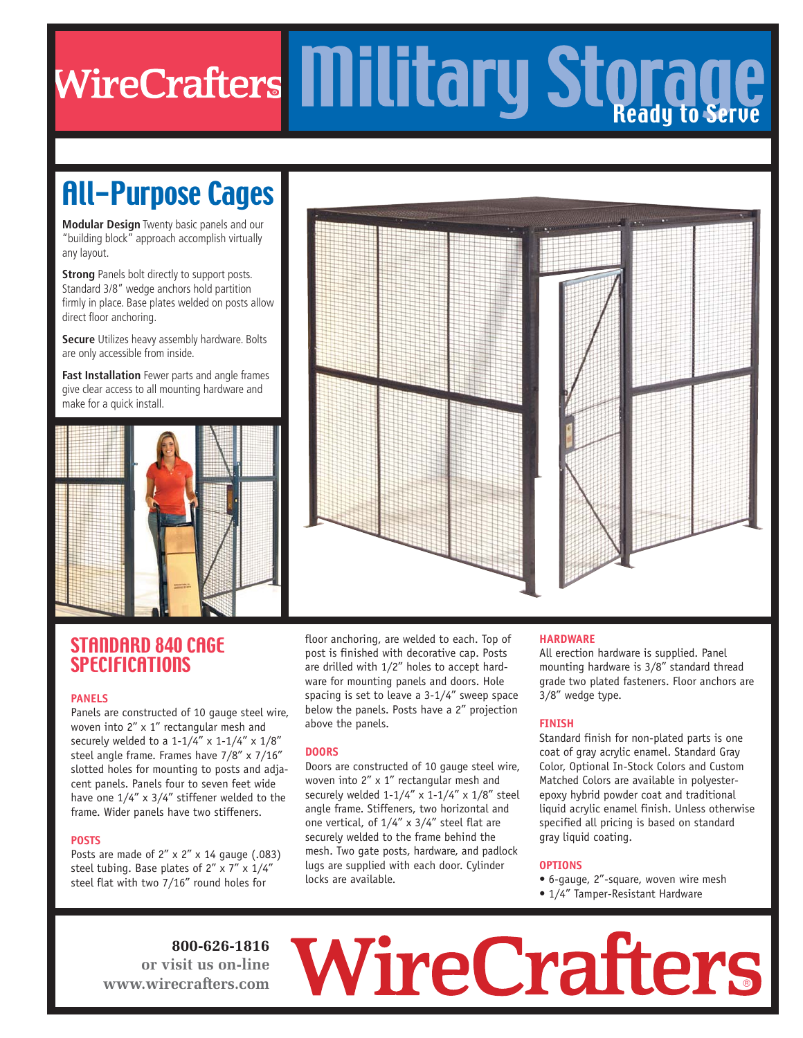# R Ready to Serve

## All-Purpose Cages

**Modular Design** Twenty basic panels and our "building block" approach accomplish virtually any layout.

**Strong** Panels bolt directly to support posts. Standard 3/8" wedge anchors hold partition firmly in place. Base plates welded on posts allow direct floor anchoring.

**Secure** Utilizes heavy assembly hardware. Bolts are only accessible from inside.

**Fast Installation** Fewer parts and angle frames give clear access to all mounting hardware and make for a quick install.





### STANDARD 840 CAGE **SPECIFICATIONS**

### **PANELS**

Panels are constructed of 10 gauge steel wire, woven into 2" x 1" rectangular mesh and securely welded to a  $1-1/4$ " x  $1-1/4$ " x  $1/8$ " steel angle frame. Frames have 7/8" x 7/16" slotted holes for mounting to posts and adjacent panels. Panels four to seven feet wide have one 1/4" x 3/4" stiffener welded to the frame. Wider panels have two stiffeners.

### **POSTS**

Posts are made of  $2'' \times 2'' \times 14$  gauge (.083) steel tubing. Base plates of  $2'' \times 7'' \times 1/4''$ steel flat with two 7/16" round holes for

floor anchoring, are welded to each. Top of post is finished with decorative cap. Posts are drilled with 1/2" holes to accept hardware for mounting panels and doors. Hole spacing is set to leave a 3-1/4" sweep space below the panels. Posts have a 2" projection above the panels.

### **DOORS**

Doors are constructed of 10 gauge steel wire, woven into 2" x 1" rectangular mesh and securely welded  $1-1/4$ " x  $1-1/4$ " x  $1/8$ " steel angle frame. Stiffeners, two horizontal and one vertical, of 1/4" x 3/4" steel flat are securely welded to the frame behind the mesh. Two gate posts, hardware, and padlock lugs are supplied with each door. Cylinder locks are available.

### **HARDWARE**

All erection hardware is supplied. Panel mounting hardware is 3/8" standard thread grade two plated fasteners. Floor anchors are 3/8" wedge type.

### **FINISH**

Standard finish for non-plated parts is one coat of gray acrylic enamel. Standard Gray Color, Optional In-Stock Colors and Custom Matched Colors are available in polyesterepoxy hybrid powder coat and traditional liquid acrylic enamel finish. Unless otherwise specified all pricing is based on standard gray liquid coating.

### **OPTIONS**

• 6-gauge, 2"-square, woven wire mesh

®

• 1/4" Tamper-Resistant Hardware

**800-626-1816 or visit us on-line www.wirecrafters.com**